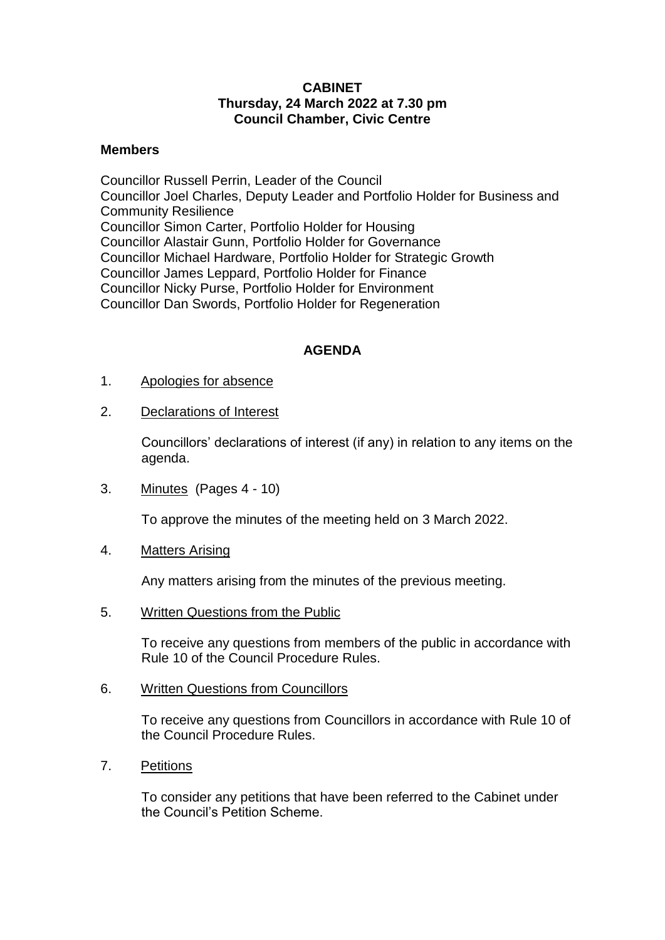## **CABINET Thursday, 24 March 2022 at 7.30 pm Council Chamber, Civic Centre**

## **Members**

Councillor Russell Perrin, Leader of the Council Councillor Joel Charles, Deputy Leader and Portfolio Holder for Business and Community Resilience Councillor Simon Carter, Portfolio Holder for Housing Councillor Alastair Gunn, Portfolio Holder for Governance Councillor Michael Hardware, Portfolio Holder for Strategic Growth Councillor James Leppard, Portfolio Holder for Finance Councillor Nicky Purse, Portfolio Holder for Environment Councillor Dan Swords, Portfolio Holder for Regeneration

## **AGENDA**

- 1. Apologies for absence
- 2. Declarations of Interest

Councillors' declarations of interest (if any) in relation to any items on the agenda.

3. Minutes (Pages 4 - 10)

To approve the minutes of the meeting held on 3 March 2022.

4. Matters Arising

Any matters arising from the minutes of the previous meeting.

5. Written Questions from the Public

To receive any questions from members of the public in accordance with Rule 10 of the Council Procedure Rules.

6. Written Questions from Councillors

To receive any questions from Councillors in accordance with Rule 10 of the Council Procedure Rules.

7. Petitions

To consider any petitions that have been referred to the Cabinet under the Council's Petition Scheme.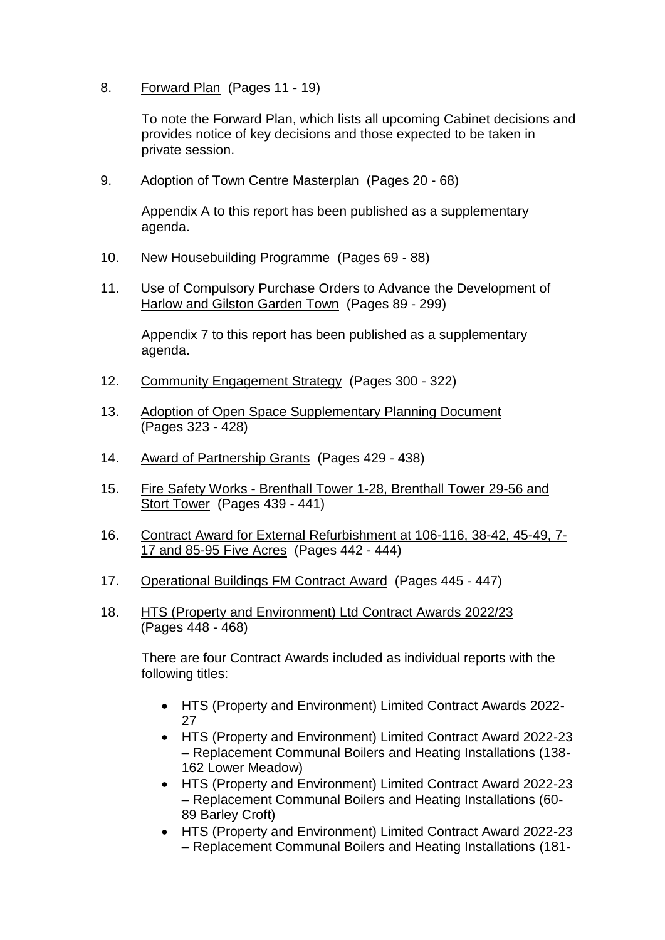8. Forward Plan (Pages 11 - 19)

To note the Forward Plan, which lists all upcoming Cabinet decisions and provides notice of key decisions and those expected to be taken in private session.

9. Adoption of Town Centre Masterplan (Pages 20 - 68)

Appendix A to this report has been published as a supplementary agenda.

- 10. New Housebuilding Programme (Pages 69 88)
- 11. Use of Compulsory Purchase Orders to Advance the Development of Harlow and Gilston Garden Town (Pages 89 - 299)

Appendix 7 to this report has been published as a supplementary agenda.

- 12. Community Engagement Strategy (Pages 300 322)
- 13. Adoption of Open Space Supplementary Planning Document (Pages 323 - 428)
- 14. Award of Partnership Grants (Pages 429 438)
- 15. Fire Safety Works Brenthall Tower 1-28, Brenthall Tower 29-56 and Stort Tower (Pages 439 - 441)
- 16. Contract Award for External Refurbishment at 106-116, 38-42, 45-49, 7- 17 and 85-95 Five Acres (Pages 442 - 444)
- 17. Operational Buildings FM Contract Award (Pages 445 447)
- 18. HTS (Property and Environment) Ltd Contract Awards 2022/23 (Pages 448 - 468)

There are four Contract Awards included as individual reports with the following titles:

- HTS (Property and Environment) Limited Contract Awards 2022- 27
- HTS (Property and Environment) Limited Contract Award 2022-23 – Replacement Communal Boilers and Heating Installations (138- 162 Lower Meadow)
- HTS (Property and Environment) Limited Contract Award 2022-23 – Replacement Communal Boilers and Heating Installations (60- 89 Barley Croft)
- HTS (Property and Environment) Limited Contract Award 2022-23 – Replacement Communal Boilers and Heating Installations (181-